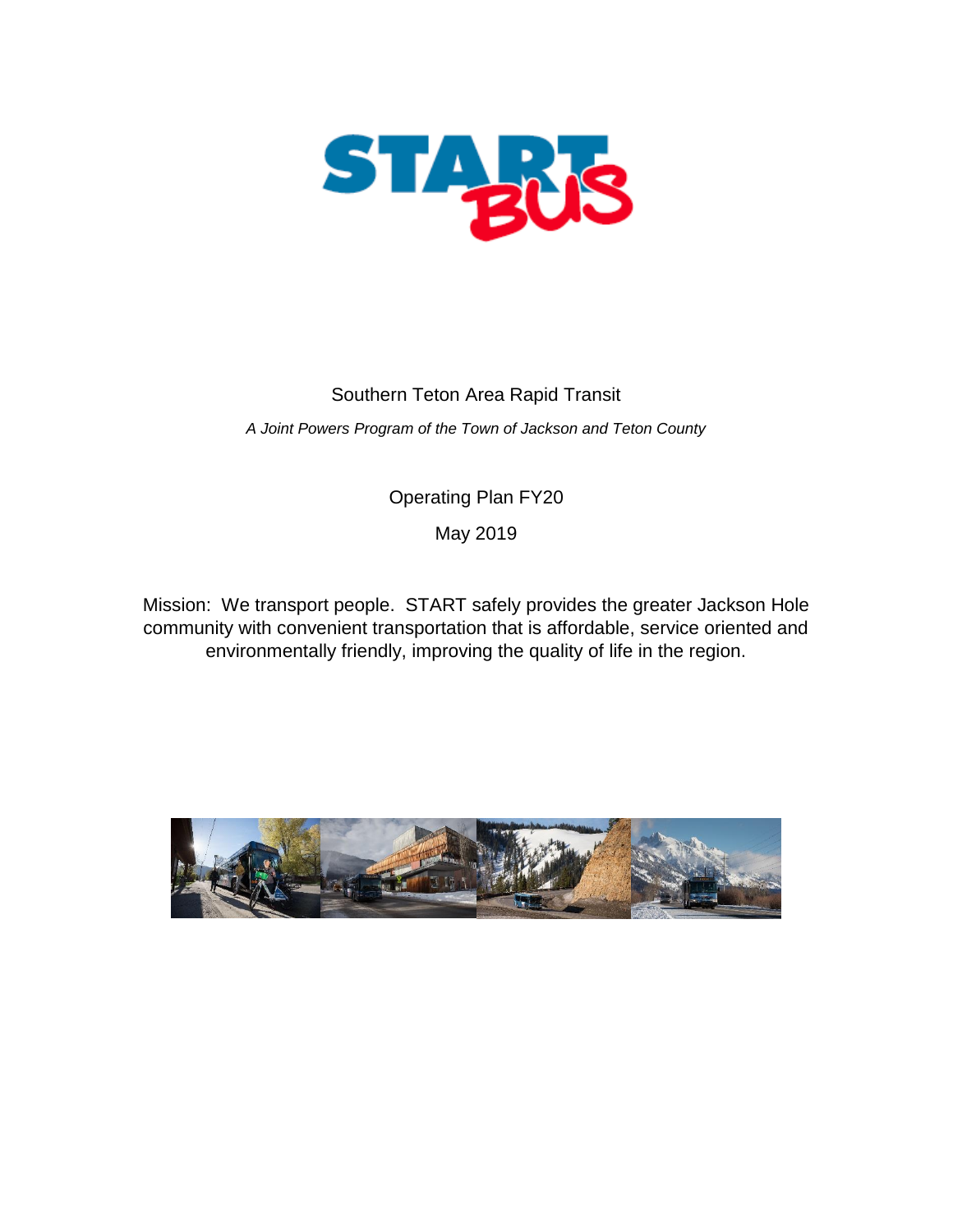

# Southern Teton Area Rapid Transit

*A Joint Powers Program of the Town of Jackson and Teton County*

Operating Plan FY20

May 2019

Mission: We transport people. START safely provides the greater Jackson Hole community with convenient transportation that is affordable, service oriented and environmentally friendly, improving the quality of life in the region.

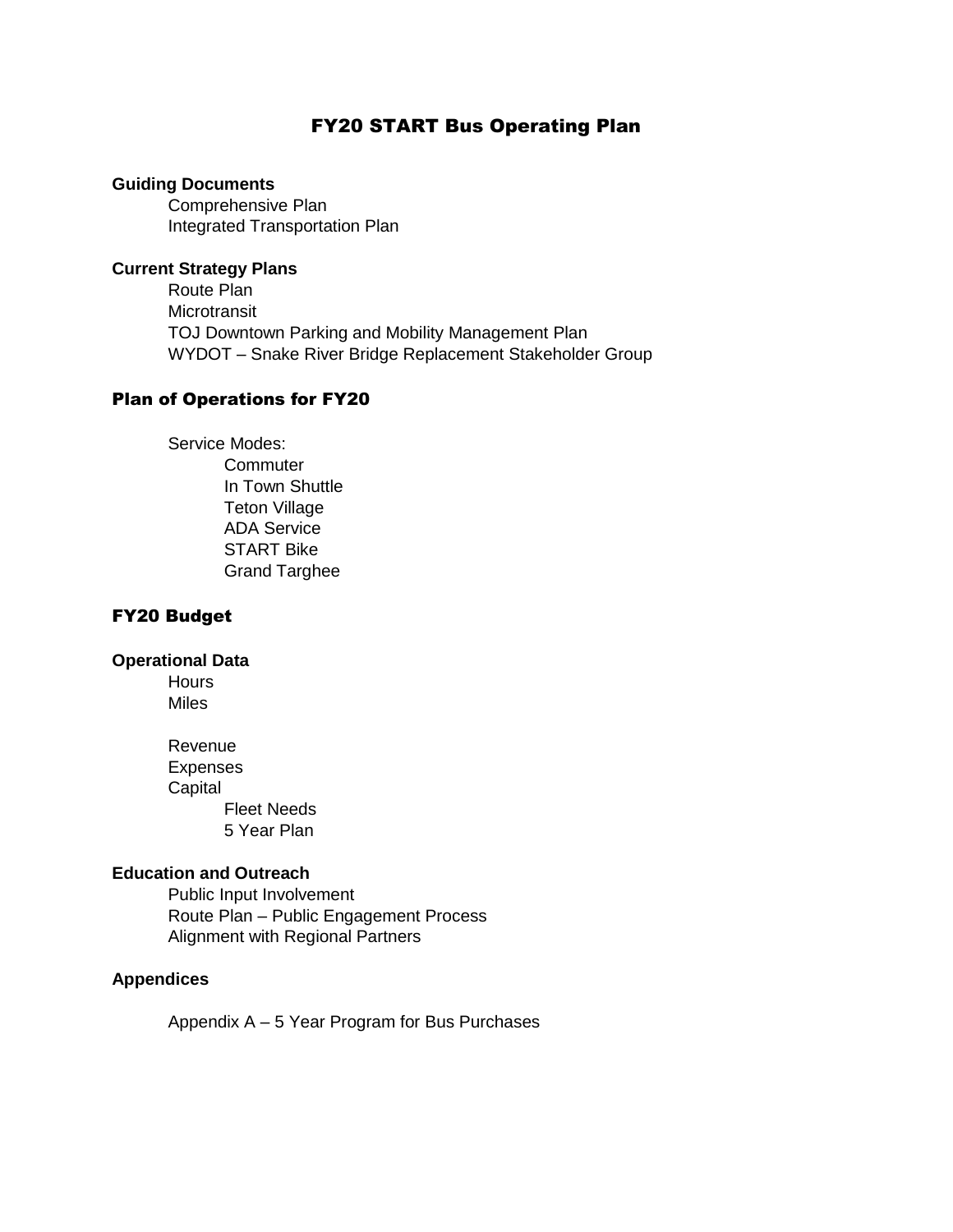## FY20 START Bus Operating Plan

## **Guiding Documents**

Comprehensive Plan Integrated Transportation Plan

## **Current Strategy Plans**

Route Plan **Microtransit** TOJ Downtown Parking and Mobility Management Plan WYDOT – Snake River Bridge Replacement Stakeholder Group

### Plan of Operations for FY20

Service Modes: **Commuter** In Town Shuttle Teton Village ADA Service START Bike Grand Targhee

## FY20 Budget

## **Operational Data**

Hours **Miles** 

Revenue Expenses **Capital** Fleet Needs 5 Year Plan

## **Education and Outreach**

Public Input Involvement Route Plan – Public Engagement Process Alignment with Regional Partners

## **Appendices**

Appendix A – 5 Year Program for Bus Purchases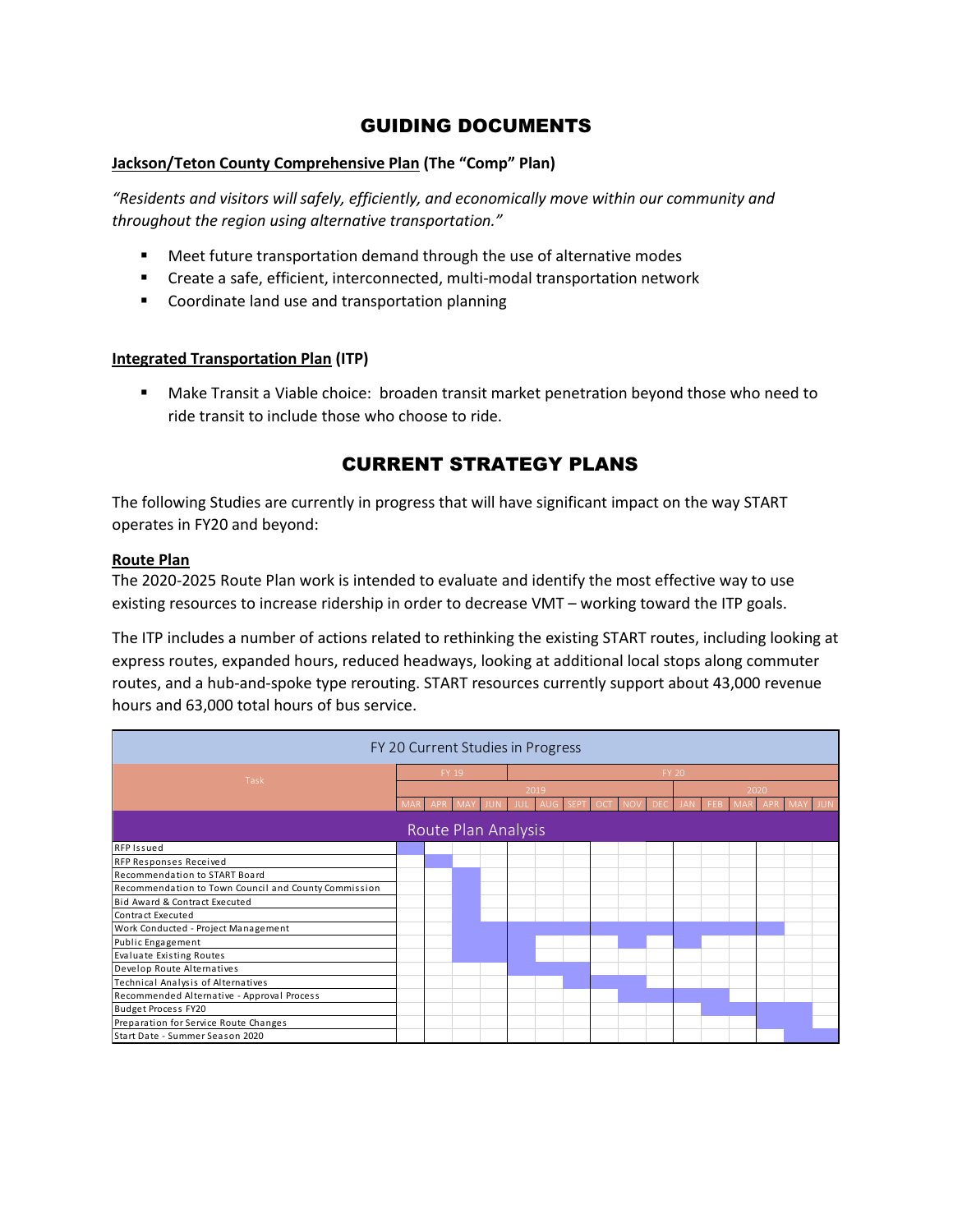# GUIDING DOCUMENTS

### **Jackson/Teton County Comprehensive Plan (The "Comp" Plan)**

*"Residents and visitors will safely, efficiently, and economically move within our community and throughout the region using alternative transportation."*

- **EXECT** Meet future transportation demand through the use of alternative modes
- Create a safe, efficient, interconnected, multi-modal transportation network
- **EXECO** Coordinate land use and transportation planning

### **Integrated Transportation Plan (ITP)**

 Make Transit a Viable choice: broaden transit market penetration beyond those who need to ride transit to include those who choose to ride.

# CURRENT STRATEGY PLANS

The following Studies are currently in progress that will have significant impact on the way START operates in FY20 and beyond:

#### **Route Plan**

The 2020-2025 Route Plan work is intended to evaluate and identify the most effective way to use existing resources to increase ridership in order to decrease VMT – working toward the ITP goals.

The ITP includes a number of actions related to rethinking the existing START routes, including looking at express routes, expanded hours, reduced headways, looking at additional local stops along commuter routes, and a hub-and-spoke type rerouting. START resources currently support about 43,000 revenue hours and 63,000 total hours of bus service.

|                                                      | FY 20 Current Studies in Progress |       |                     |      |  |  |              |  |      |  |
|------------------------------------------------------|-----------------------------------|-------|---------------------|------|--|--|--------------|--|------|--|
|                                                      |                                   | FY 19 |                     |      |  |  | <b>FY 20</b> |  |      |  |
| Task                                                 |                                   |       |                     | 2019 |  |  |              |  | 2020 |  |
|                                                      |                                   |       |                     |      |  |  |              |  |      |  |
|                                                      |                                   |       | Route Plan Analysis |      |  |  |              |  |      |  |
| <b>RFP Issued</b>                                    |                                   |       |                     |      |  |  |              |  |      |  |
| RFP Responses Received                               |                                   |       |                     |      |  |  |              |  |      |  |
| Recommendation to START Board                        |                                   |       |                     |      |  |  |              |  |      |  |
| Recommendation to Town Council and County Commission |                                   |       |                     |      |  |  |              |  |      |  |
| Bid Award & Contract Executed                        |                                   |       |                     |      |  |  |              |  |      |  |
| Contract Executed                                    |                                   |       |                     |      |  |  |              |  |      |  |
| Work Conducted - Project Management                  |                                   |       |                     |      |  |  |              |  |      |  |
| Public Engagement                                    |                                   |       |                     |      |  |  |              |  |      |  |
| <b>Evaluate Existing Routes</b>                      |                                   |       |                     |      |  |  |              |  |      |  |
| Develop Route Alternatives                           |                                   |       |                     |      |  |  |              |  |      |  |
| Technical Analysis of Alternatives                   |                                   |       |                     |      |  |  |              |  |      |  |
| Recommended Alternative - Approval Process           |                                   |       |                     |      |  |  |              |  |      |  |
| <b>Budget Process FY20</b>                           |                                   |       |                     |      |  |  |              |  |      |  |
| Preparation for Service Route Changes                |                                   |       |                     |      |  |  |              |  |      |  |
| Start Date - Summer Season 2020                      |                                   |       |                     |      |  |  |              |  |      |  |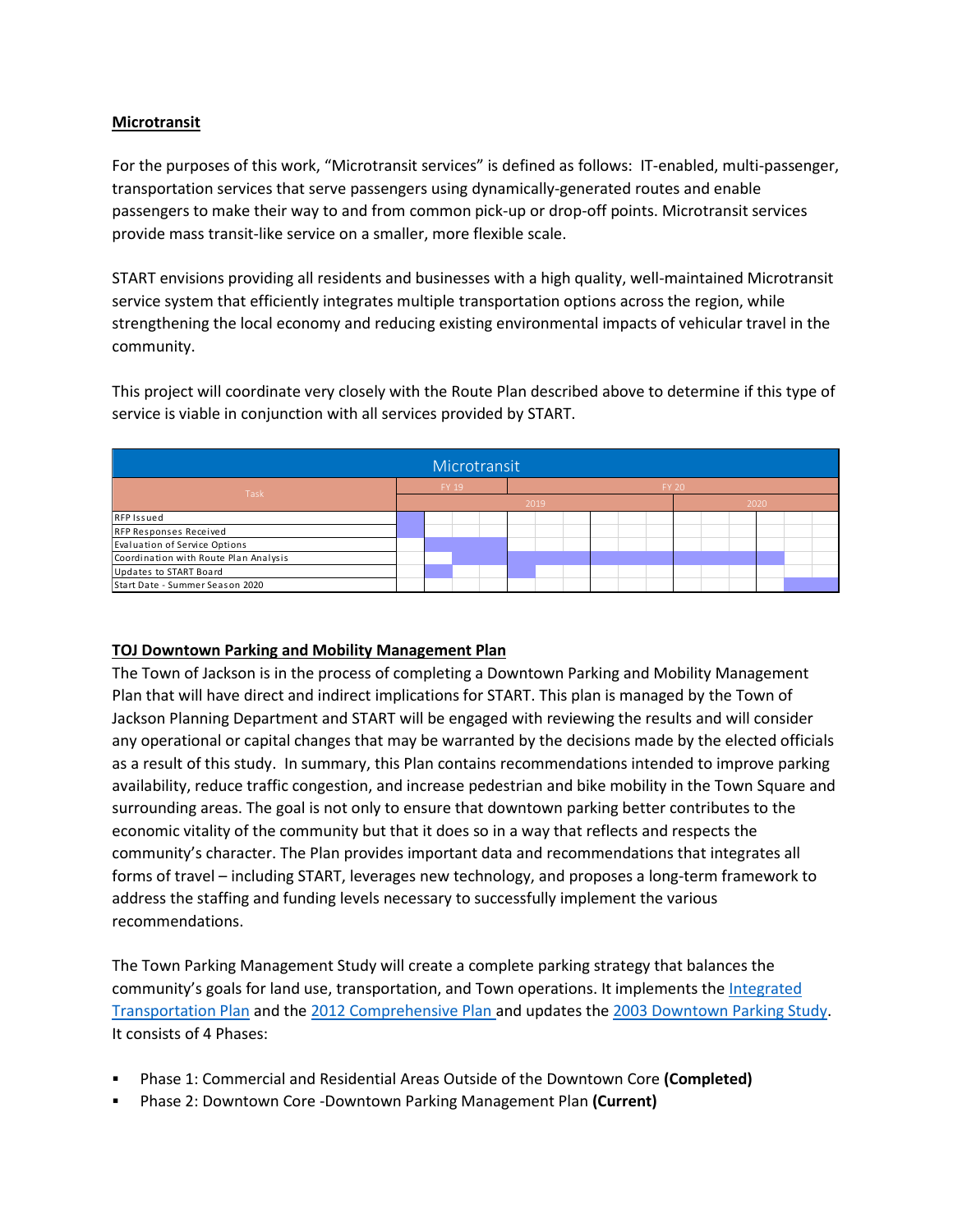### **Microtransit**

For the purposes of this work, "Microtransit services" is defined as follows: IT-enabled, multi-passenger, transportation services that serve passengers using dynamically-generated routes and enable passengers to make their way to and from common pick-up or drop-off points. Microtransit services provide mass transit-like service on a smaller, more flexible scale.

START envisions providing all residents and businesses with a high quality, well-maintained Microtransit service system that efficiently integrates multiple transportation options across the region, while strengthening the local economy and reducing existing environmental impacts of vehicular travel in the community.

This project will coordinate very closely with the Route Plan described above to determine if this type of service is viable in conjunction with all services provided by START.

|                                       |                                      |  | Microtransit |  |  |  |  |  |  |  |  |
|---------------------------------------|--------------------------------------|--|--------------|--|--|--|--|--|--|--|--|
|                                       | FY 19<br><b>FY 20</b><br><b>Task</b> |  |              |  |  |  |  |  |  |  |  |
|                                       | 2019<br>2020                         |  |              |  |  |  |  |  |  |  |  |
| RFP Issued                            |                                      |  |              |  |  |  |  |  |  |  |  |
| RFP Responses Received                |                                      |  |              |  |  |  |  |  |  |  |  |
| Evaluation of Service Options         |                                      |  |              |  |  |  |  |  |  |  |  |
| Coordination with Route Plan Analysis |                                      |  |              |  |  |  |  |  |  |  |  |
| Updates to START Board                |                                      |  |              |  |  |  |  |  |  |  |  |
| Start Date - Summer Season 2020       |                                      |  |              |  |  |  |  |  |  |  |  |

### **TOJ Downtown Parking and Mobility Management Plan**

The Town of Jackson is in the process of completing a Downtown Parking and Mobility Management Plan that will have direct and indirect implications for START. This plan is managed by the Town of Jackson Planning Department and START will be engaged with reviewing the results and will consider any operational or capital changes that may be warranted by the decisions made by the elected officials as a result of this study. In summary, this Plan contains recommendations intended to improve parking availability, reduce traffic congestion, and increase pedestrian and bike mobility in the Town Square and surrounding areas. The goal is not only to ensure that downtown parking better contributes to the economic vitality of the community but that it does so in a way that reflects and respects the community's character. The Plan provides important data and recommendations that integrates all forms of travel – including START, leverages new technology, and proposes a long-term framework to address the staffing and funding levels necessary to successfully implement the various recommendations.

The Town Parking Management Study will create a complete parking strategy that balances the community's goals for land use, transportation, and Town operations. It implements the Integrated [Transportation Plan](https://www.tetoncountywy.gov/725/Integrated-Transportation-Plan) and the [2012 Comprehensive Plan](http://wy-tetoncountyplanning.civicplus.com/DocumentCenter/View/1152/Jackson--Teton-County-Comprehensive-Plan-April-6-2012-PDF) and updates the [2003 Downtown Parking Study.](http://wy-tetoncountyplanning.civicplus.com/DocumentCenter/View/1233/2003-Parking-Study) It consists of 4 Phases:

- Phase 1: Commercial and Residential Areas Outside of the Downtown Core **(Completed)**
- Phase 2: Downtown Core -Downtown Parking Management Plan **(Current)**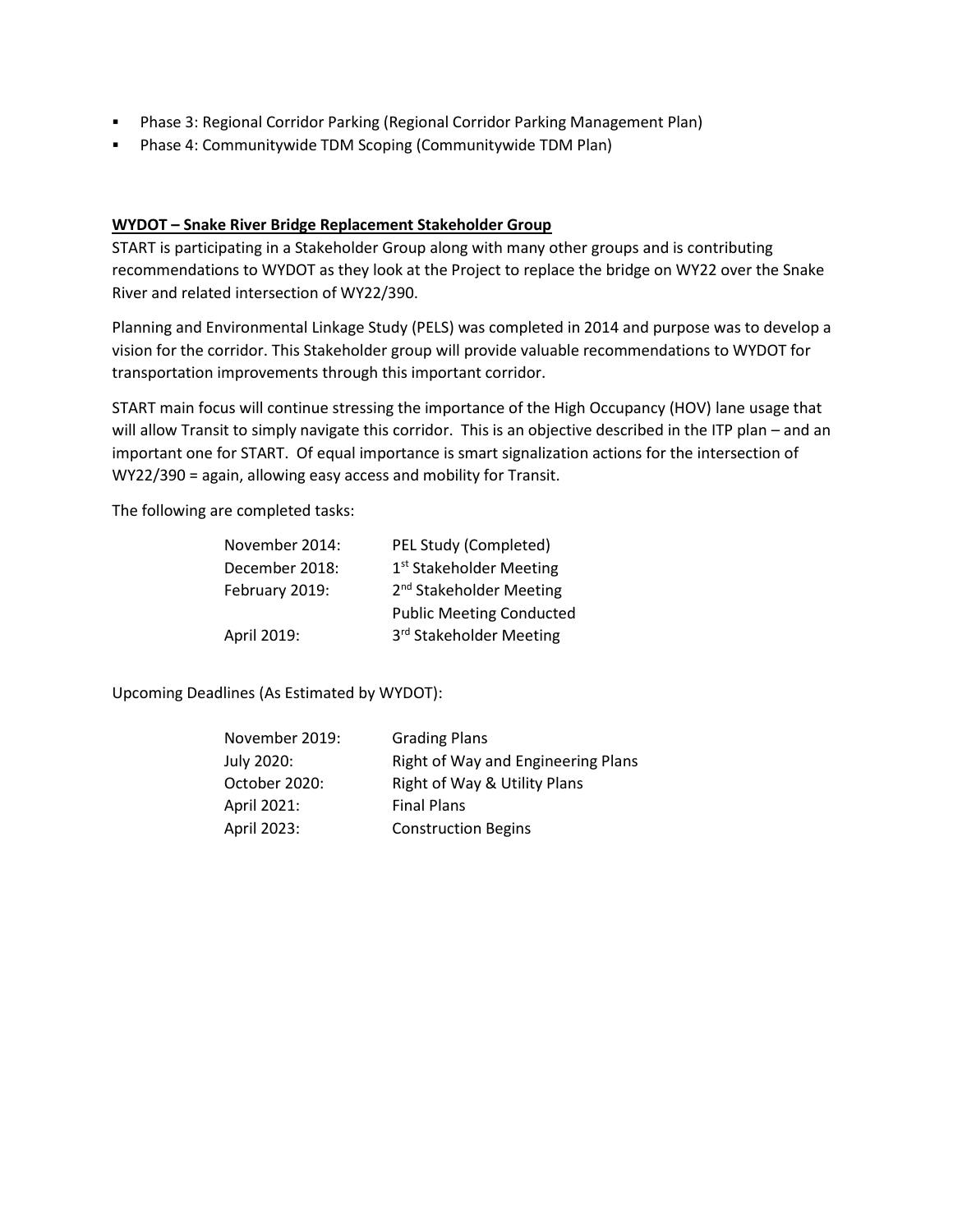- Phase 3: Regional Corridor Parking (Regional Corridor Parking Management Plan)
- Phase 4: Communitywide TDM Scoping (Communitywide TDM Plan)

### **WYDOT – Snake River Bridge Replacement Stakeholder Group**

START is participating in a Stakeholder Group along with many other groups and is contributing recommendations to WYDOT as they look at the Project to replace the bridge on WY22 over the Snake River and related intersection of WY22/390.

Planning and Environmental Linkage Study (PELS) was completed in 2014 and purpose was to develop a vision for the corridor. This Stakeholder group will provide valuable recommendations to WYDOT for transportation improvements through this important corridor.

START main focus will continue stressing the importance of the High Occupancy (HOV) lane usage that will allow Transit to simply navigate this corridor. This is an objective described in the ITP plan – and an important one for START. Of equal importance is smart signalization actions for the intersection of WY22/390 = again, allowing easy access and mobility for Transit.

The following are completed tasks:

| November 2014: | PEL Study (Completed)               |
|----------------|-------------------------------------|
| December 2018: | 1 <sup>st</sup> Stakeholder Meeting |
| February 2019: | 2 <sup>nd</sup> Stakeholder Meeting |
|                | <b>Public Meeting Conducted</b>     |
| April 2019:    | 3rd Stakeholder Meeting             |
|                |                                     |

Upcoming Deadlines (As Estimated by WYDOT):

| November 2019: | <b>Grading Plans</b>               |
|----------------|------------------------------------|
| July 2020:     | Right of Way and Engineering Plans |
| October 2020:  | Right of Way & Utility Plans       |
| April 2021:    | <b>Final Plans</b>                 |
| April 2023:    | <b>Construction Begins</b>         |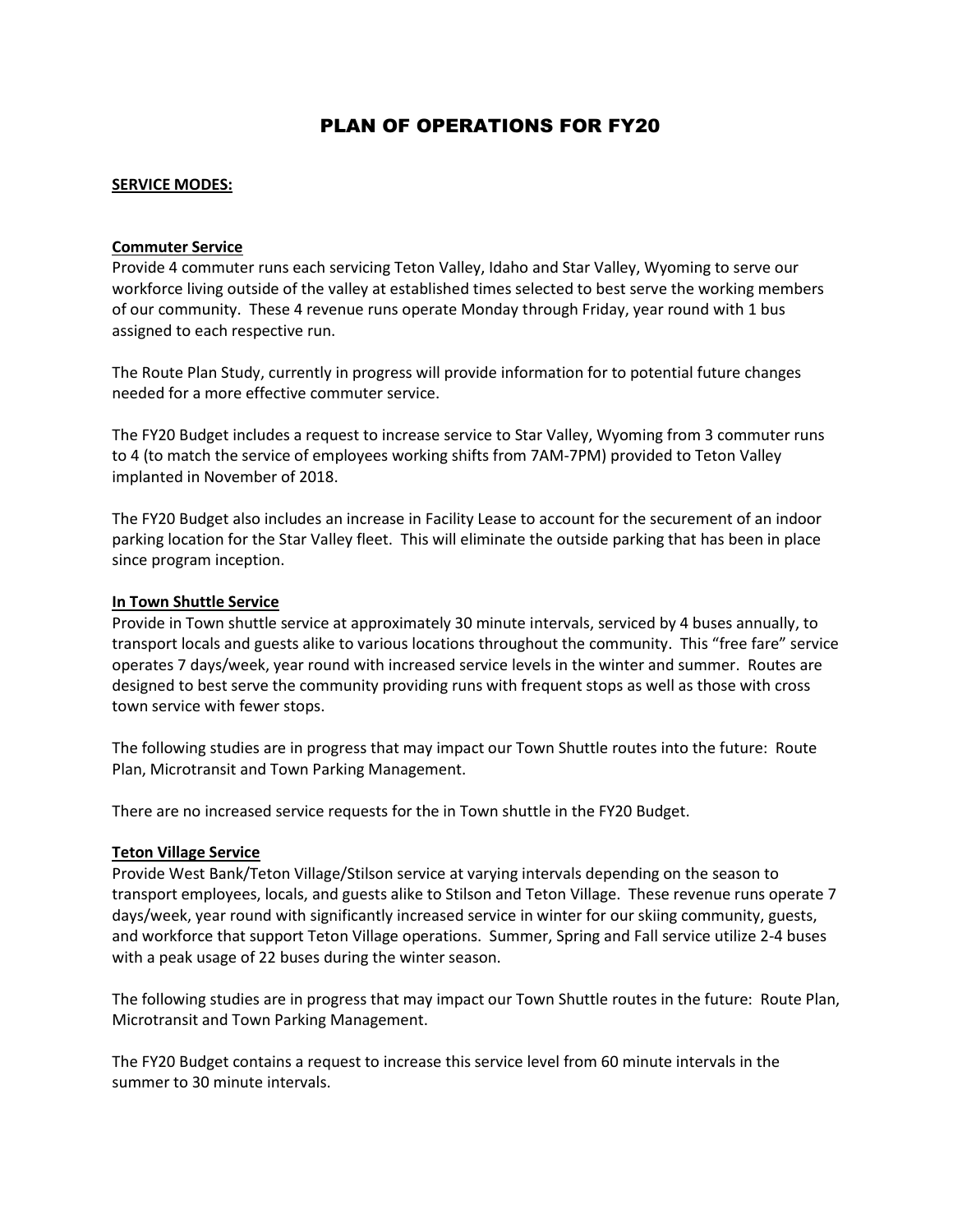## PLAN OF OPERATIONS FOR FY20

#### **SERVICE MODES:**

#### **Commuter Service**

Provide 4 commuter runs each servicing Teton Valley, Idaho and Star Valley, Wyoming to serve our workforce living outside of the valley at established times selected to best serve the working members of our community. These 4 revenue runs operate Monday through Friday, year round with 1 bus assigned to each respective run.

The Route Plan Study, currently in progress will provide information for to potential future changes needed for a more effective commuter service.

The FY20 Budget includes a request to increase service to Star Valley, Wyoming from 3 commuter runs to 4 (to match the service of employees working shifts from 7AM-7PM) provided to Teton Valley implanted in November of 2018.

The FY20 Budget also includes an increase in Facility Lease to account for the securement of an indoor parking location for the Star Valley fleet. This will eliminate the outside parking that has been in place since program inception.

#### **In Town Shuttle Service**

Provide in Town shuttle service at approximately 30 minute intervals, serviced by 4 buses annually, to transport locals and guests alike to various locations throughout the community. This "free fare" service operates 7 days/week, year round with increased service levels in the winter and summer. Routes are designed to best serve the community providing runs with frequent stops as well as those with cross town service with fewer stops.

The following studies are in progress that may impact our Town Shuttle routes into the future: Route Plan, Microtransit and Town Parking Management.

There are no increased service requests for the in Town shuttle in the FY20 Budget.

#### **Teton Village Service**

Provide West Bank/Teton Village/Stilson service at varying intervals depending on the season to transport employees, locals, and guests alike to Stilson and Teton Village. These revenue runs operate 7 days/week, year round with significantly increased service in winter for our skiing community, guests, and workforce that support Teton Village operations. Summer, Spring and Fall service utilize 2-4 buses with a peak usage of 22 buses during the winter season.

The following studies are in progress that may impact our Town Shuttle routes in the future: Route Plan, Microtransit and Town Parking Management.

The FY20 Budget contains a request to increase this service level from 60 minute intervals in the summer to 30 minute intervals.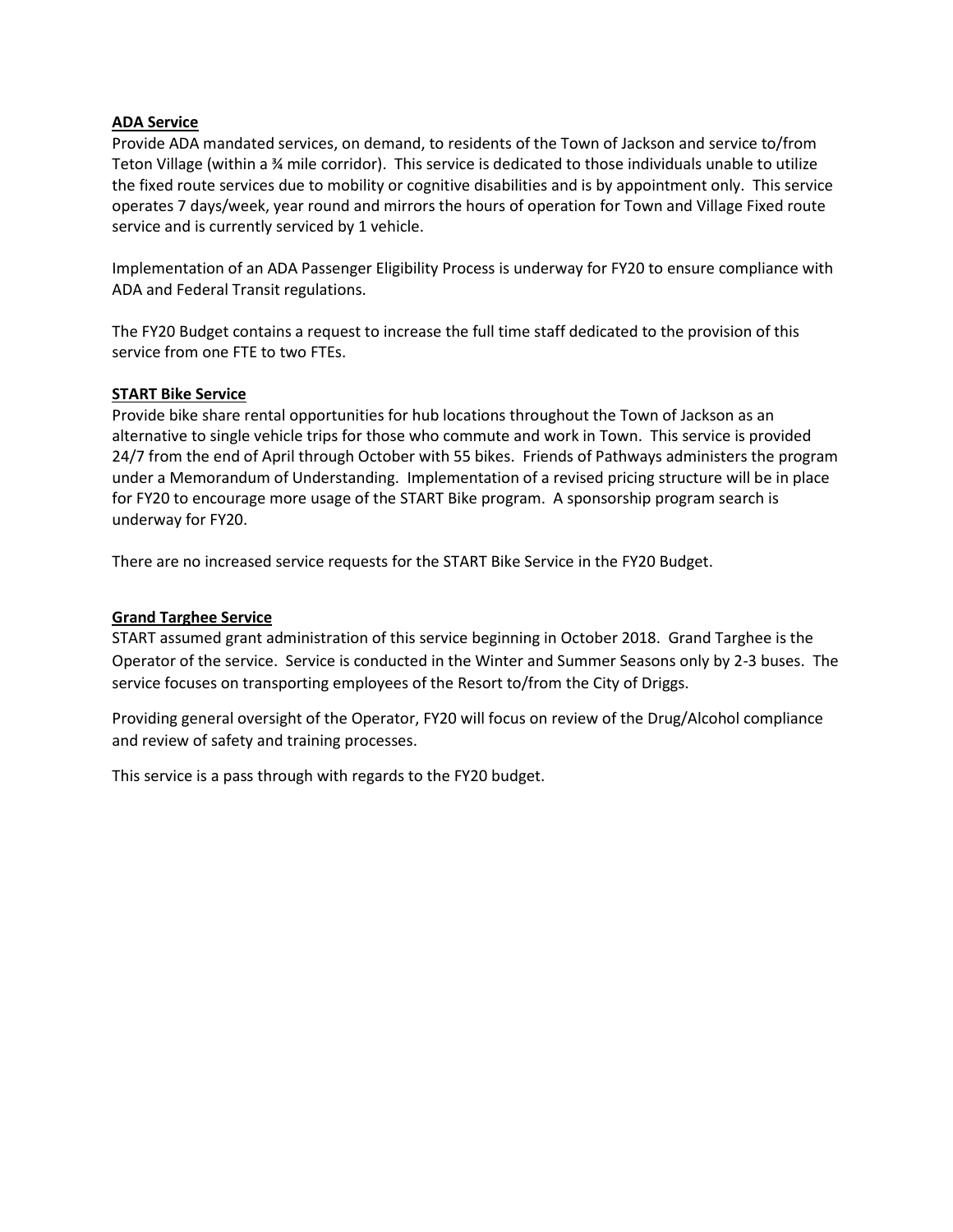### **ADA Service**

Provide ADA mandated services, on demand, to residents of the Town of Jackson and service to/from Teton Village (within a ¾ mile corridor). This service is dedicated to those individuals unable to utilize the fixed route services due to mobility or cognitive disabilities and is by appointment only. This service operates 7 days/week, year round and mirrors the hours of operation for Town and Village Fixed route service and is currently serviced by 1 vehicle.

Implementation of an ADA Passenger Eligibility Process is underway for FY20 to ensure compliance with ADA and Federal Transit regulations.

The FY20 Budget contains a request to increase the full time staff dedicated to the provision of this service from one FTE to two FTEs.

#### **START Bike Service**

Provide bike share rental opportunities for hub locations throughout the Town of Jackson as an alternative to single vehicle trips for those who commute and work in Town. This service is provided 24/7 from the end of April through October with 55 bikes. Friends of Pathways administers the program under a Memorandum of Understanding. Implementation of a revised pricing structure will be in place for FY20 to encourage more usage of the START Bike program. A sponsorship program search is underway for FY20.

There are no increased service requests for the START Bike Service in the FY20 Budget.

### **Grand Targhee Service**

START assumed grant administration of this service beginning in October 2018. Grand Targhee is the Operator of the service. Service is conducted in the Winter and Summer Seasons only by 2-3 buses. The service focuses on transporting employees of the Resort to/from the City of Driggs.

Providing general oversight of the Operator, FY20 will focus on review of the Drug/Alcohol compliance and review of safety and training processes.

This service is a pass through with regards to the FY20 budget.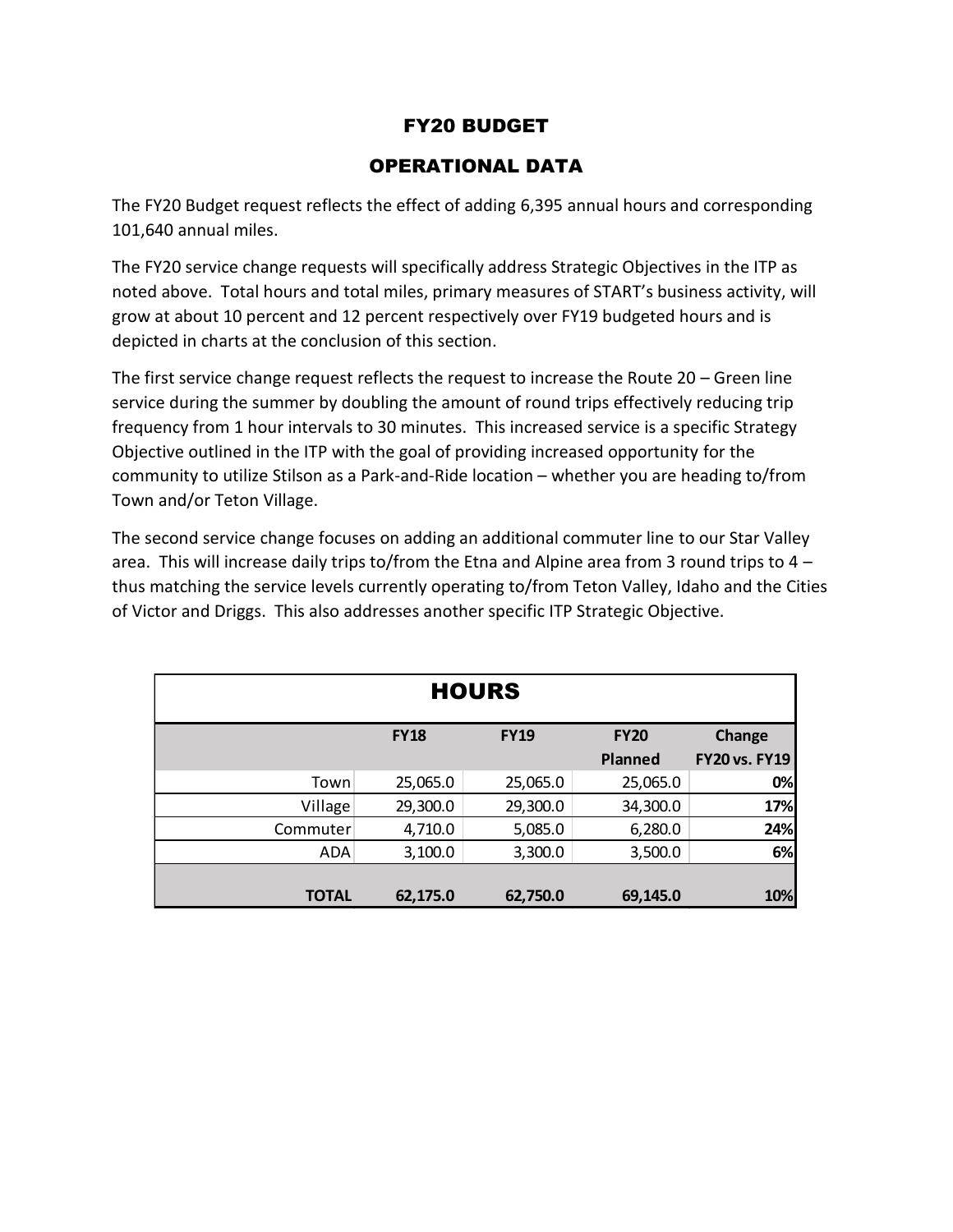# FY20 BUDGET

# OPERATIONAL DATA

The FY20 Budget request reflects the effect of adding 6,395 annual hours and corresponding 101,640 annual miles.

The FY20 service change requests will specifically address Strategic Objectives in the ITP as noted above. Total hours and total miles, primary measures of START's business activity, will grow at about 10 percent and 12 percent respectively over FY19 budgeted hours and is depicted in charts at the conclusion of this section.

The first service change request reflects the request to increase the Route 20 – Green line service during the summer by doubling the amount of round trips effectively reducing trip frequency from 1 hour intervals to 30 minutes. This increased service is a specific Strategy Objective outlined in the ITP with the goal of providing increased opportunity for the community to utilize Stilson as a Park-and-Ride location – whether you are heading to/from Town and/or Teton Village.

The second service change focuses on adding an additional commuter line to our Star Valley area. This will increase daily trips to/from the Etna and Alpine area from 3 round trips to 4 – thus matching the service levels currently operating to/from Teton Valley, Idaho and the Cities of Victor and Driggs. This also addresses another specific ITP Strategic Objective.

|              |             | <b>HOURS</b> |                |                      |
|--------------|-------------|--------------|----------------|----------------------|
|              | <b>FY18</b> | <b>FY19</b>  | <b>FY20</b>    | Change               |
|              |             |              | <b>Planned</b> | <b>FY20 vs. FY19</b> |
| Town         | 25,065.0    | 25,065.0     | 25,065.0       | 0%                   |
| Village      | 29,300.0    | 29,300.0     | 34,300.0       | 17%                  |
| Commuter     | 4,710.0     | 5,085.0      | 6,280.0        | 24%                  |
| ADA          | 3,100.0     | 3,300.0      | 3,500.0        | 6%                   |
|              |             |              |                |                      |
| <b>TOTAL</b> | 62,175.0    | 62,750.0     | 69,145.0       | 10%                  |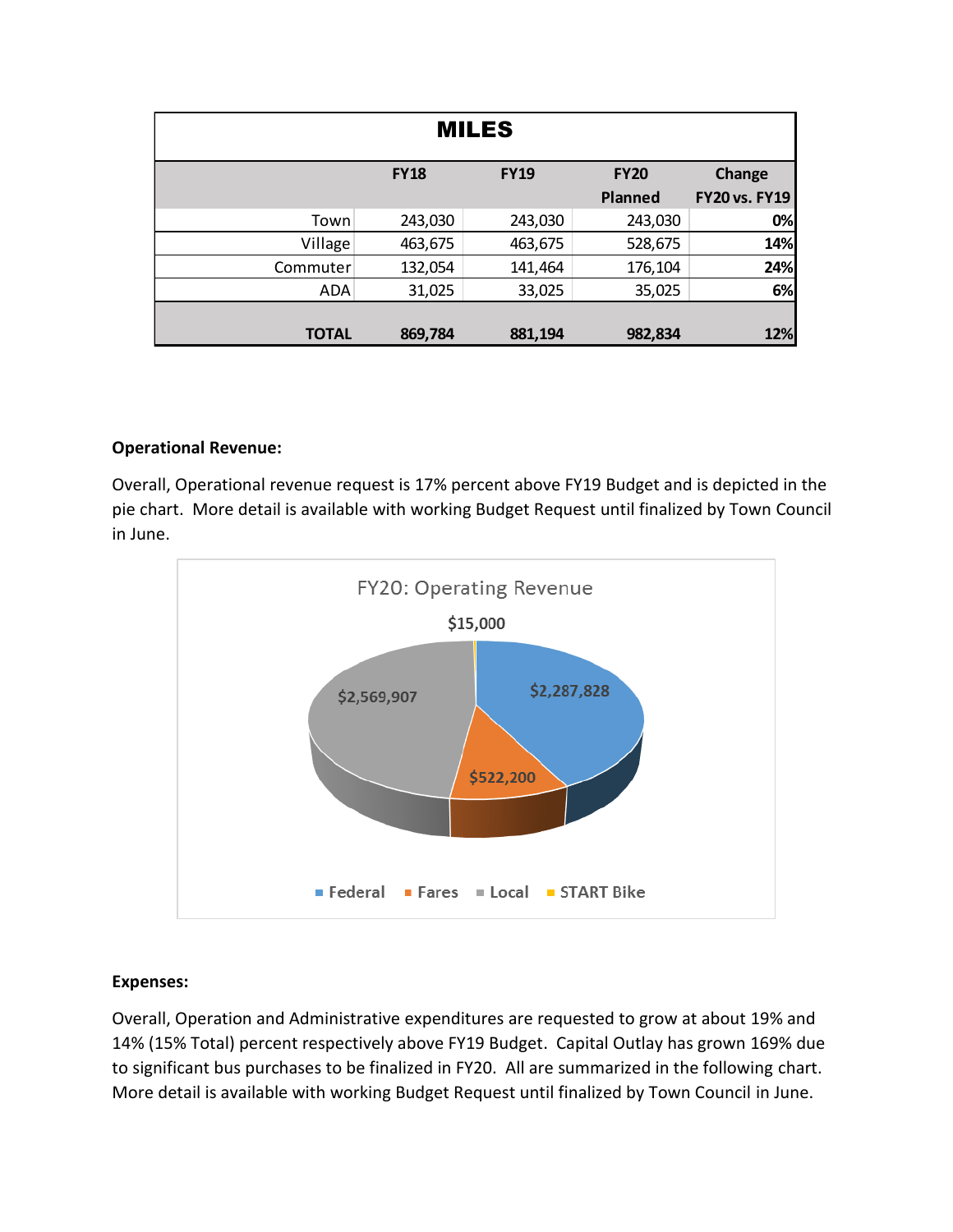| <b>MILES</b> |             |             |                |                      |  |  |  |  |  |
|--------------|-------------|-------------|----------------|----------------------|--|--|--|--|--|
|              | <b>FY18</b> | <b>FY19</b> | <b>FY20</b>    | Change               |  |  |  |  |  |
|              |             |             | <b>Planned</b> | <b>FY20 vs. FY19</b> |  |  |  |  |  |
| Town         | 243,030     | 243,030     | 243,030        | 0%                   |  |  |  |  |  |
| Village      | 463,675     | 463,675     | 528,675        | 14%                  |  |  |  |  |  |
| Commuter     | 132,054     | 141,464     | 176,104        | 24%                  |  |  |  |  |  |
| ADA          | 31,025      | 33,025      | 35,025         | 6%                   |  |  |  |  |  |
|              |             |             |                |                      |  |  |  |  |  |
| <b>TOTAL</b> | 869,784     | 881,194     | 982,834        | 12%                  |  |  |  |  |  |

## **Operational Revenue:**

Overall, Operational revenue request is 17% percent above FY19 Budget and is depicted in the pie chart. More detail is available with working Budget Request until finalized by Town Council in June.



## **Expenses:**

Overall, Operation and Administrative expenditures are requested to grow at about 19% and 14% (15% Total) percent respectively above FY19 Budget. Capital Outlay has grown 169% due to significant bus purchases to be finalized in FY20. All are summarized in the following chart. More detail is available with working Budget Request until finalized by Town Council in June.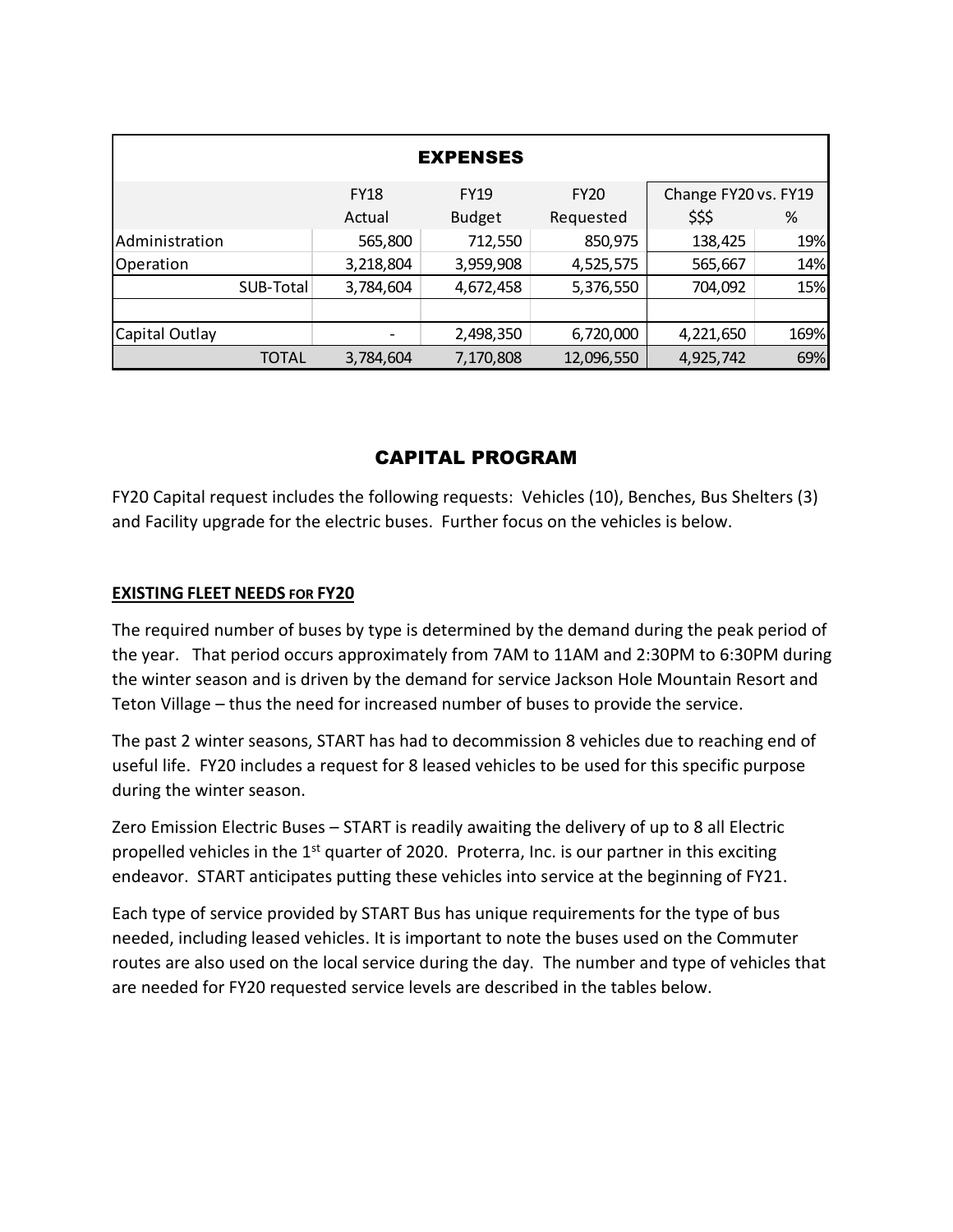|                |           |             | <b>EXPENSES</b> |             |                      |      |
|----------------|-----------|-------------|-----------------|-------------|----------------------|------|
|                |           | <b>FY18</b> | <b>FY19</b>     | <b>FY20</b> | Change FY20 vs. FY19 |      |
|                |           | Actual      | <b>Budget</b>   | Requested   | \$\$\$               | %    |
| Administration |           | 565,800     | 712,550         | 850,975     | 138,425              | 19%  |
| Operation      |           | 3,218,804   | 3,959,908       | 4,525,575   | 565,667              | 14%  |
|                | SUB-Total | 3,784,604   | 4,672,458       | 5,376,550   | 704,092              | 15%  |
|                |           |             |                 |             |                      |      |
| Capital Outlay |           |             | 2,498,350       | 6,720,000   | 4,221,650            | 169% |
|                | TOTAL     | 3,784,604   | 7,170,808       | 12,096,550  | 4,925,742            | 69%  |

# CAPITAL PROGRAM

FY20 Capital request includes the following requests: Vehicles (10), Benches, Bus Shelters (3) and Facility upgrade for the electric buses. Further focus on the vehicles is below.

## **EXISTING FLEET NEEDS FOR FY20**

The required number of buses by type is determined by the demand during the peak period of the year. That period occurs approximately from 7AM to 11AM and 2:30PM to 6:30PM during the winter season and is driven by the demand for service Jackson Hole Mountain Resort and Teton Village – thus the need for increased number of buses to provide the service.

The past 2 winter seasons, START has had to decommission 8 vehicles due to reaching end of useful life. FY20 includes a request for 8 leased vehicles to be used for this specific purpose during the winter season.

Zero Emission Electric Buses – START is readily awaiting the delivery of up to 8 all Electric propelled vehicles in the  $1<sup>st</sup>$  quarter of 2020. Proterra, Inc. is our partner in this exciting endeavor. START anticipates putting these vehicles into service at the beginning of FY21.

Each type of service provided by START Bus has unique requirements for the type of bus needed, including leased vehicles. It is important to note the buses used on the Commuter routes are also used on the local service during the day. The number and type of vehicles that are needed for FY20 requested service levels are described in the tables below.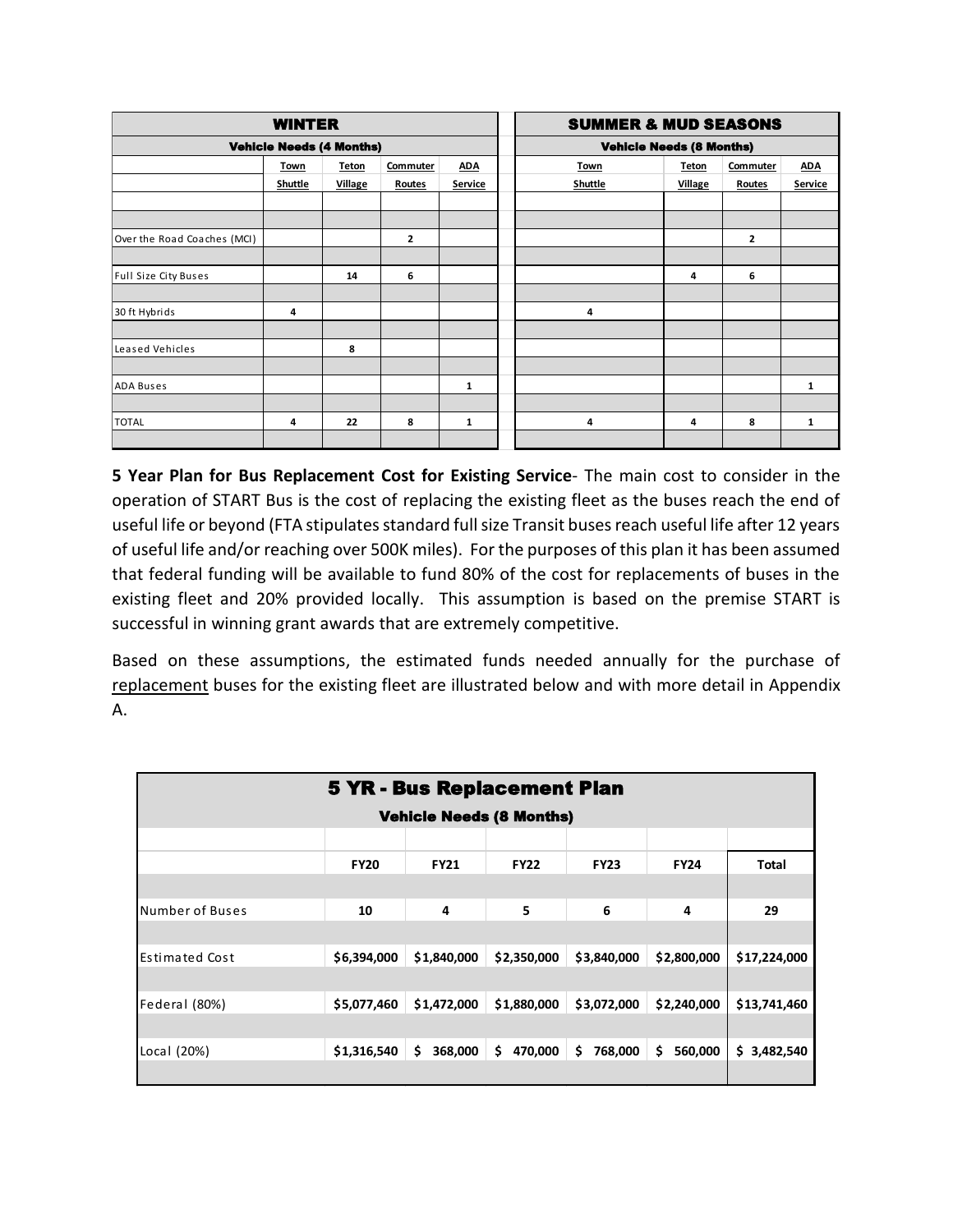|                             | <b>WINTER</b>                   |                |                |            | <b>SUMMER &amp; MUD SEASONS</b> |                |          |            |
|-----------------------------|---------------------------------|----------------|----------------|------------|---------------------------------|----------------|----------|------------|
|                             | <b>Vehicle Needs (4 Months)</b> |                |                |            | <b>Vehicle Needs (8 Months)</b> |                |          |            |
|                             | Town                            | <b>Teton</b>   | Commuter       | <b>ADA</b> | <b>Town</b>                     | <b>Teton</b>   | Commuter | <b>ADA</b> |
|                             | Shuttle                         | <b>Village</b> | <b>Routes</b>  | Service    | Shuttle                         | <b>Village</b> | Routes   | Service    |
|                             |                                 |                |                |            |                                 |                |          |            |
|                             |                                 |                |                |            |                                 |                |          |            |
| Over the Road Coaches (MCI) |                                 |                | $\overline{2}$ |            |                                 |                | 2        |            |
|                             |                                 |                |                |            |                                 |                |          |            |
| Full Size City Buses        |                                 | 14             | 6              |            |                                 | 4              | 6        |            |
|                             |                                 |                |                |            |                                 |                |          |            |
| 30 ft Hybrids               | 4                               |                |                |            | 4                               |                |          |            |
|                             |                                 |                |                |            |                                 |                |          |            |
| Leased Vehicles             |                                 | 8              |                |            |                                 |                |          |            |
|                             |                                 |                |                |            |                                 |                |          |            |
| <b>ADA Buses</b>            |                                 |                |                | 1          |                                 |                |          | 1          |
|                             |                                 |                |                |            |                                 |                |          |            |
| <b>TOTAL</b>                | 4                               | 22             | 8              | 1          | 4                               | 4              | 8        | 1          |
|                             |                                 |                |                |            |                                 |                |          |            |

**5 Year Plan for Bus Replacement Cost for Existing Service**- The main cost to consider in the operation of START Bus is the cost of replacing the existing fleet as the buses reach the end of useful life or beyond (FTA stipulates standard full size Transit buses reach useful life after 12 years of useful life and/or reaching over 500K miles). For the purposes of this plan it has been assumed that federal funding will be available to fund 80% of the cost for replacements of buses in the existing fleet and 20% provided locally. This assumption is based on the premise START is successful in winning grant awards that are extremely competitive.

Based on these assumptions, the estimated funds needed annually for the purchase of replacement buses for the existing fleet are illustrated below and with more detail in Appendix A.

|                 |             | <b>5 YR - Bus Replacement Plan</b> |               |               |               |              |
|-----------------|-------------|------------------------------------|---------------|---------------|---------------|--------------|
|                 |             | <b>Vehicle Needs (8 Months)</b>    |               |               |               |              |
|                 |             |                                    |               |               |               |              |
|                 | <b>FY20</b> | <b>FY21</b>                        | <b>FY22</b>   | <b>FY23</b>   | <b>FY24</b>   | <b>Total</b> |
|                 |             |                                    |               |               |               |              |
| Number of Buses | 10          | 4                                  | 5             | 6             | 4             | 29           |
|                 |             |                                    |               |               |               |              |
| lEstimated Cost | \$6,394,000 | \$1,840,000                        | \$2,350,000   | \$3,840,000   | \$2,800,000   | \$17,224,000 |
|                 |             |                                    |               |               |               |              |
| Federal (80%)   | \$5,077,460 | \$1,472,000                        | \$1,880,000   | \$3,072,000   | \$2,240,000   | \$13,741,460 |
|                 |             |                                    |               |               |               |              |
| Local (20%)     | \$1,316,540 | \$<br>368,000                      | \$<br>470,000 | \$<br>768,000 | \$<br>560,000 | \$3,482,540  |
|                 |             |                                    |               |               |               |              |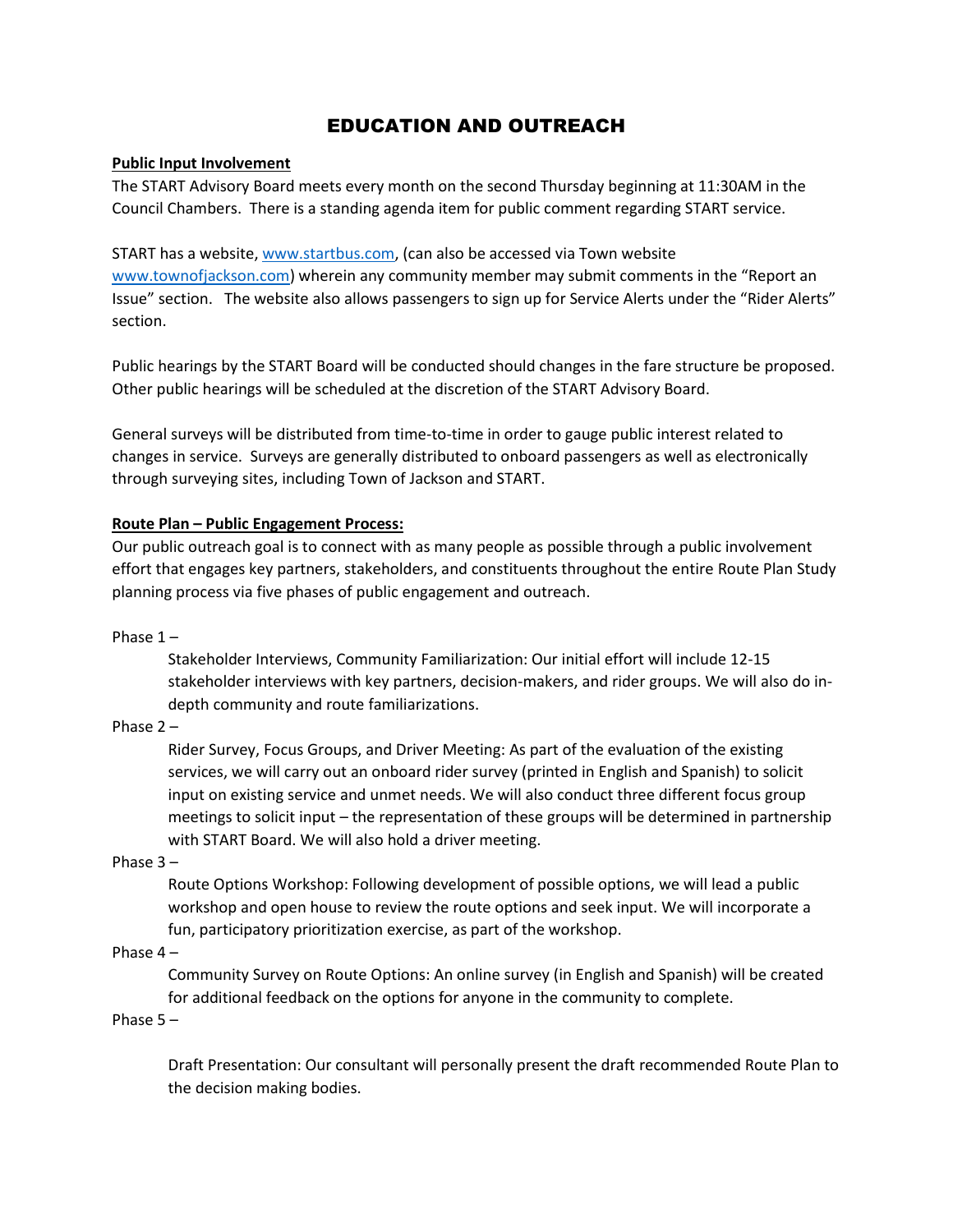## EDUCATION AND OUTREACH

### **Public Input Involvement**

The START Advisory Board meets every month on the second Thursday beginning at 11:30AM in the Council Chambers. There is a standing agenda item for public comment regarding START service.

START has a website[, www.startbus.com,](http://www.startbus.com/) (can also be accessed via Town website [www.townofjackson.com\)](http://www.townofjackson.com/) wherein any community member may submit comments in the "Report an Issue" section. The website also allows passengers to sign up for Service Alerts under the "Rider Alerts" section.

Public hearings by the START Board will be conducted should changes in the fare structure be proposed. Other public hearings will be scheduled at the discretion of the START Advisory Board.

General surveys will be distributed from time-to-time in order to gauge public interest related to changes in service. Surveys are generally distributed to onboard passengers as well as electronically through surveying sites, including Town of Jackson and START.

### **Route Plan – Public Engagement Process:**

Our public outreach goal is to connect with as many people as possible through a public involvement effort that engages key partners, stakeholders, and constituents throughout the entire Route Plan Study planning process via five phases of public engagement and outreach.

Phase 1 –

Stakeholder Interviews, Community Familiarization: Our initial effort will include 12‐15 stakeholder interviews with key partners, decision‐makers, and rider groups. We will also do in‐ depth community and route familiarizations.

Phase 2 –

Rider Survey, Focus Groups, and Driver Meeting: As part of the evaluation of the existing services, we will carry out an onboard rider survey (printed in English and Spanish) to solicit input on existing service and unmet needs. We will also conduct three different focus group meetings to solicit input – the representation of these groups will be determined in partnership with START Board. We will also hold a driver meeting.

Phase 3 –

Route Options Workshop: Following development of possible options, we will lead a public workshop and open house to review the route options and seek input. We will incorporate a fun, participatory prioritization exercise, as part of the workshop.

Phase 4 –

Community Survey on Route Options: An online survey (in English and Spanish) will be created for additional feedback on the options for anyone in the community to complete.

Phase 5 –

Draft Presentation: Our consultant will personally present the draft recommended Route Plan to the decision making bodies.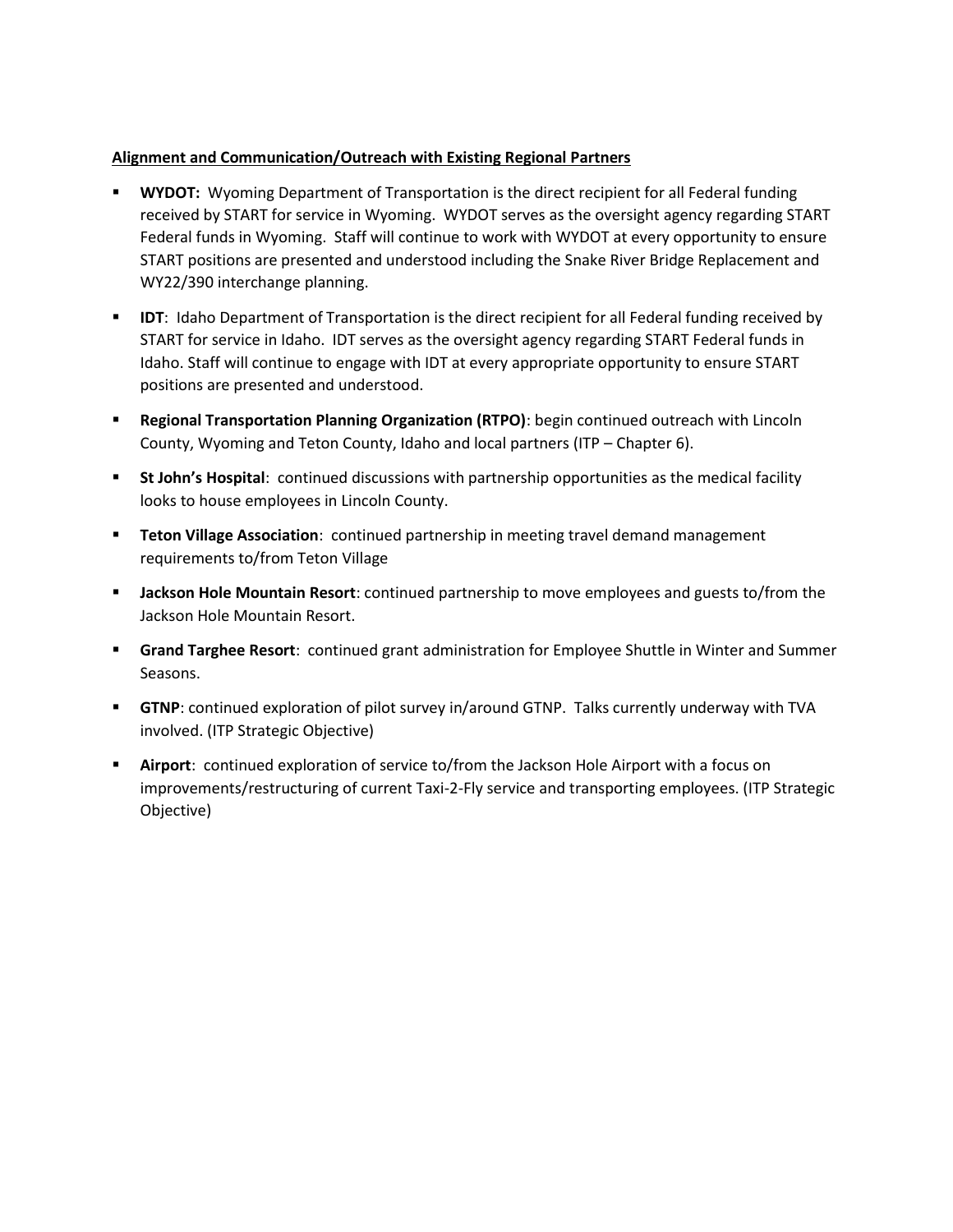## **Alignment and Communication/Outreach with Existing Regional Partners**

- **WYDOT:** Wyoming Department of Transportation is the direct recipient for all Federal funding received by START for service in Wyoming. WYDOT serves as the oversight agency regarding START Federal funds in Wyoming. Staff will continue to work with WYDOT at every opportunity to ensure START positions are presented and understood including the Snake River Bridge Replacement and WY22/390 interchange planning.
- **IDT:** Idaho Department of Transportation is the direct recipient for all Federal funding received by START for service in Idaho. IDT serves as the oversight agency regarding START Federal funds in Idaho. Staff will continue to engage with IDT at every appropriate opportunity to ensure START positions are presented and understood.
- **Regional Transportation Planning Organization (RTPO)**: begin continued outreach with Lincoln County, Wyoming and Teton County, Idaho and local partners (ITP – Chapter 6).
- **St John's Hospital:** continued discussions with partnership opportunities as the medical facility looks to house employees in Lincoln County.
- **Teton Village Association**: continued partnership in meeting travel demand management requirements to/from Teton Village
- **Jackson Hole Mountain Resort**: continued partnership to move employees and guests to/from the Jackson Hole Mountain Resort.
- **Grand Targhee Resort**: continued grant administration for Employee Shuttle in Winter and Summer Seasons.
- **GTNP**: continued exploration of pilot survey in/around GTNP. Talks currently underway with TVA involved. (ITP Strategic Objective)
- **Airport**: continued exploration of service to/from the Jackson Hole Airport with a focus on improvements/restructuring of current Taxi-2-Fly service and transporting employees. (ITP Strategic Objective)